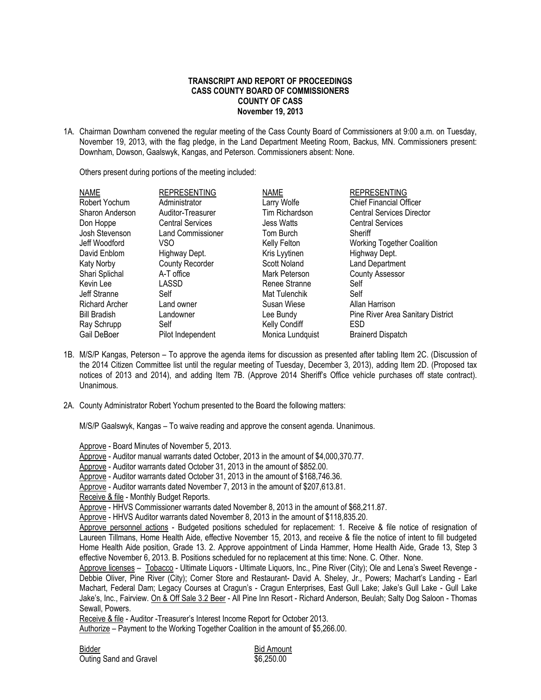## **TRANSCRIPT AND REPORT OF PROCEEDINGS CASS COUNTY BOARD OF COMMISSIONERS COUNTY OF CASS November 19, 2013**

1A. Chairman Downham convened the regular meeting of the Cass County Board of Commissioners at 9:00 a.m. on Tuesday, November 19, 2013, with the flag pledge, in the Land Department Meeting Room, Backus, MN. Commissioners present: Downham, Dowson, Gaalswyk, Kangas, and Peterson. Commissioners absent: None.

Others present during portions of the meeting included:

| <b>NAME</b>     | <b>REPRESENTING</b>      | <b>NAME</b>       | <b>REPRESENTING</b>               |
|-----------------|--------------------------|-------------------|-----------------------------------|
| Robert Yochum   | Administrator            | Larry Wolfe       | <b>Chief Financial Officer</b>    |
| Sharon Anderson | Auditor-Treasurer        | Tim Richardson    | <b>Central Services Director</b>  |
| Don Hoppe       | <b>Central Services</b>  | <b>Jess Watts</b> | <b>Central Services</b>           |
| Josh Stevenson  | <b>Land Commissioner</b> | Tom Burch         | Sheriff                           |
| Jeff Woodford   | VSO                      | Kelly Felton      | <b>Working Together Coalition</b> |
| David Enblom    | Highway Dept.            | Kris Lyytinen     | Highway Dept.                     |
| Katy Norby      | <b>County Recorder</b>   | Scott Noland      | <b>Land Department</b>            |
| Shari Splichal  | A-T office               | Mark Peterson     | <b>County Assessor</b>            |
| Kevin Lee       | LASSD                    | Renee Stranne     | Self                              |
| Jeff Stranne    | Self                     | Mat Tulenchik     | Self                              |
| Richard Archer  | Land owner               | Susan Wiese       | Allan Harrison                    |
| Bill Bradish    | Landowner                | Lee Bundy         | Pine River Area Sanitary District |
| Ray Schrupp     | Self                     | Kelly Condiff     | <b>ESD</b>                        |
| Gail DeBoer     | Pilot Independent        | Monica Lundquist  | <b>Brainerd Dispatch</b>          |
|                 |                          |                   |                                   |

- 1B. M/S/P Kangas, Peterson To approve the agenda items for discussion as presented after tabling Item 2C. (Discussion of the 2014 Citizen Committee list until the regular meeting of Tuesday, December 3, 2013), adding Item 2D. (Proposed tax notices of 2013 and 2014), and adding Item 7B. (Approve 2014 Sheriff's Office vehicle purchases off state contract). Unanimous.
- 2A. County Administrator Robert Yochum presented to the Board the following matters:

M/S/P Gaalswyk, Kangas – To waive reading and approve the consent agenda. Unanimous.

Approve - Board Minutes of November 5, 2013.

Approve - Auditor manual warrants dated October, 2013 in the amount of \$4,000,370.77.

Approve - Auditor warrants dated October 31, 2013 in the amount of \$852.00.

Approve - Auditor warrants dated October 31, 2013 in the amount of \$168,746.36.

Approve - Auditor warrants dated November 7, 2013 in the amount of \$207,613.81.

Receive & file - Monthly Budget Reports.

Approve - HHVS Commissioner warrants dated November 8, 2013 in the amount of \$68,211.87.

Approve - HHVS Auditor warrants dated November 8, 2013 in the amount of \$118,835.20.

Approve personnel actions - Budgeted positions scheduled for replacement: 1. Receive & file notice of resignation of Laureen Tillmans, Home Health Aide, effective November 15, 2013, and receive & file the notice of intent to fill budgeted Home Health Aide position, Grade 13. 2. Approve appointment of Linda Hammer, Home Health Aide, Grade 13, Step 3 effective November 6, 2013. B. Positions scheduled for no replacement at this time: None. C. Other. None.

Approve licenses - Tobacco - Ultimate Liquors - Ultimate Liquors, Inc., Pine River (City); Ole and Lena's Sweet Revenge -Debbie Oliver, Pine River (City); Corner Store and Restaurant- David A. Sheley, Jr., Powers; Machart's Landing - Earl Machart, Federal Dam; Legacy Courses at Cragun's - Cragun Enterprises, East Gull Lake; Jake's Gull Lake - Gull Lake Jake's, Inc., Fairview. On & Off Sale 3.2 Beer - All Pine Inn Resort - Richard Anderson, Beulah; Salty Dog Saloon - Thomas Sewall, Powers.

Receive & file - Auditor -Treasurer's Interest Income Report for October 2013.

Authorize – Payment to the Working Together Coalition in the amount of \$5,266.00.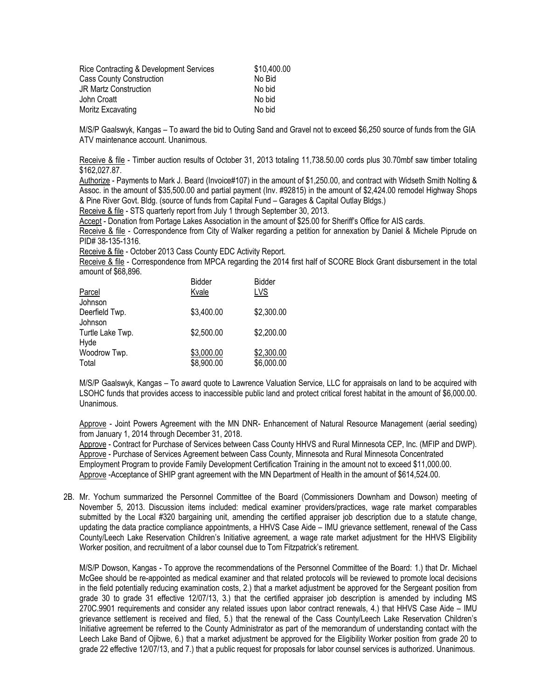| Rice Contracting & Development Services | \$10,400.00 |
|-----------------------------------------|-------------|
| <b>Cass County Construction</b>         | No Bid      |
| <b>JR Martz Construction</b>            | No bid      |
| John Croatt                             | No bid      |
| Moritz Excavating                       | No bid      |

M/S/P Gaalswyk, Kangas – To award the bid to Outing Sand and Gravel not to exceed \$6,250 source of funds from the GIA ATV maintenance account. Unanimous.

Receive & file - Timber auction results of October 31, 2013 totaling 11,738.50.00 cords plus 30.70mbf saw timber totaling \$162,027.87.

Authorize - Payments to Mark J. Beard (Invoice#107) in the amount of \$1,250.00, and contract with Widseth Smith Nolting & Assoc. in the amount of \$35,500.00 and partial payment (Inv. #92815) in the amount of \$2,424.00 remodel Highway Shops & Pine River Govt. Bldg. (source of funds from Capital Fund – Garages & Capital Outlay Bldgs.)

Receive & file - STS quarterly report from July 1 through September 30, 2013.

Accept - Donation from Portage Lakes Association in the amount of \$25.00 for Sheriff's Office for AIS cards.

Receive & file - Correspondence from City of Walker regarding a petition for annexation by Daniel & Michele Piprude on PID# 38-135-1316.

Receive & file - October 2013 Cass County EDC Activity Report.

Receive & file - Correspondence from MPCA regarding the 2014 first half of SCORE Block Grant disbursement in the total amount of \$68,896.

| Parcel                    | <b>Bidder</b><br>Kvale | <b>Bidder</b><br>LVS |
|---------------------------|------------------------|----------------------|
| Johnson                   |                        |                      |
| Deerfield Twp.<br>Johnson | \$3,400.00             | \$2,300.00           |
| Turtle Lake Twp.<br>Hyde  | \$2,500.00             | \$2,200.00           |
| Woodrow Twp.              | \$3,000.00             | \$2,300.00           |
| Total                     | \$8,900.00             | \$6,000.00           |

M/S/P Gaalswyk, Kangas – To award quote to Lawrence Valuation Service, LLC for appraisals on land to be acquired with LSOHC funds that provides access to inaccessible public land and protect critical forest habitat in the amount of \$6,000.00. Unanimous.

Approve - Joint Powers Agreement with the MN DNR- Enhancement of Natural Resource Management (aerial seeding) from January 1, 2014 through December 31, 2018.

Approve - Contract for Purchase of Services between Cass County HHVS and Rural Minnesota CEP, Inc. (MFIP and DWP). Approve - Purchase of Services Agreement between Cass County, Minnesota and Rural Minnesota Concentrated Employment Program to provide Family Development Certification Training in the amount not to exceed \$11,000.00. Approve -Acceptance of SHIP grant agreement with the MN Department of Health in the amount of \$614,524.00.

2B. Mr. Yochum summarized the Personnel Committee of the Board (Commissioners Downham and Dowson) meeting of November 5, 2013. Discussion items included: medical examiner providers/practices, wage rate market comparables submitted by the Local #320 bargaining unit, amending the certified appraiser job description due to a statute change, updating the data practice compliance appointments, a HHVS Case Aide – IMU grievance settlement, renewal of the Cass County/Leech Lake Reservation Children's Initiative agreement, a wage rate market adjustment for the HHVS Eligibility Worker position, and recruitment of a labor counsel due to Tom Fitzpatrick's retirement.

M/S/P Dowson, Kangas - To approve the recommendations of the Personnel Committee of the Board: 1.) that Dr. Michael McGee should be re-appointed as medical examiner and that related protocols will be reviewed to promote local decisions in the field potentially reducing examination costs, 2.) that a market adjustment be approved for the Sergeant position from grade 30 to grade 31 effective 12/07/13, 3.) that the certified appraiser job description is amended by including MS 270C.9901 requirements and consider any related issues upon labor contract renewals, 4.) that HHVS Case Aide – IMU grievance settlement is received and filed, 5.) that the renewal of the Cass County/Leech Lake Reservation Children's Initiative agreement be referred to the County Administrator as part of the memorandum of understanding contact with the Leech Lake Band of Ojibwe, 6.) that a market adjustment be approved for the Eligibility Worker position from grade 20 to grade 22 effective 12/07/13, and 7.) that a public request for proposals for labor counsel services is authorized. Unanimous.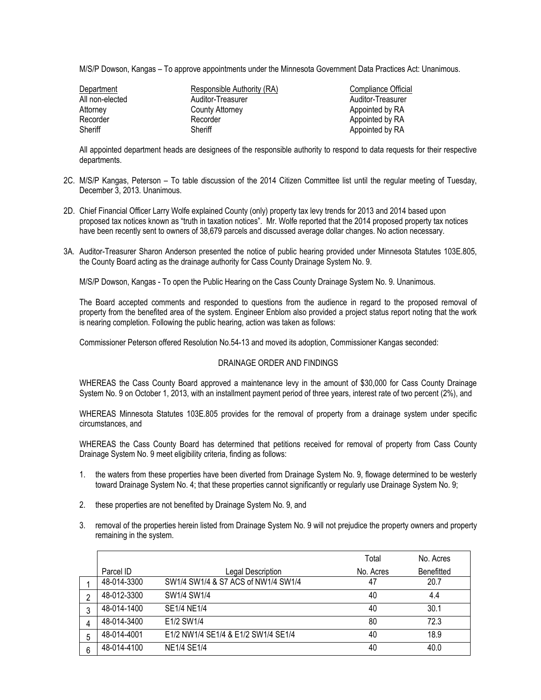M/S/P Dowson, Kangas – To approve appointments under the Minnesota Government Data Practices Act: Unanimous.

| Department      | Responsible Authority (RA) | Compliance Official |
|-----------------|----------------------------|---------------------|
| All non-elected | Auditor-Treasurer          | Auditor-Treasurer   |
| Attorney        | County Attorney            | Appointed by RA     |
| Recorder        | Recorder                   | Appointed by RA     |
| Sheriff         | Sheriff                    | Appointed by RA     |

All appointed department heads are designees of the responsible authority to respond to data requests for their respective departments.

- 2C. M/S/P Kangas, Peterson To table discussion of the 2014 Citizen Committee list until the regular meeting of Tuesday, December 3, 2013. Unanimous.
- 2D. Chief Financial Officer Larry Wolfe explained County (only) property tax levy trends for 2013 and 2014 based upon proposed tax notices known as "truth in taxation notices". Mr. Wolfe reported that the 2014 proposed property tax notices have been recently sent to owners of 38,679 parcels and discussed average dollar changes. No action necessary.
- 3A. Auditor-Treasurer Sharon Anderson presented the notice of public hearing provided under Minnesota Statutes 103E.805, the County Board acting as the drainage authority for Cass County Drainage System No. 9.

M/S/P Dowson, Kangas - To open the Public Hearing on the Cass County Drainage System No. 9. Unanimous.

The Board accepted comments and responded to questions from the audience in regard to the proposed removal of property from the benefited area of the system. Engineer Enblom also provided a project status report noting that the work is nearing completion. Following the public hearing, action was taken as follows:

Commissioner Peterson offered Resolution No.54-13 and moved its adoption, Commissioner Kangas seconded:

## DRAINAGE ORDER AND FINDINGS

WHEREAS the Cass County Board approved a maintenance levy in the amount of \$30,000 for Cass County Drainage System No. 9 on October 1, 2013, with an installment payment period of three years, interest rate of two percent (2%), and

WHEREAS Minnesota Statutes 103E.805 provides for the removal of property from a drainage system under specific circumstances, and

WHEREAS the Cass County Board has determined that petitions received for removal of property from Cass County Drainage System No. 9 meet eligibility criteria, finding as follows:

- 1. the waters from these properties have been diverted from Drainage System No. 9, flowage determined to be westerly toward Drainage System No. 4; that these properties cannot significantly or regularly use Drainage System No. 9;
- 2. these properties are not benefited by Drainage System No. 9, and
- 3. removal of the properties herein listed from Drainage System No. 9 will not prejudice the property owners and property remaining in the system.

|   |             |                                     | Total     | No. Acres         |
|---|-------------|-------------------------------------|-----------|-------------------|
|   | Parcel ID   | Legal Description                   | No. Acres | <b>Benefitted</b> |
|   | 48-014-3300 | SW1/4 SW1/4 & S7 ACS of NW1/4 SW1/4 | 47        | 20.7              |
| 2 | 48-012-3300 | SW1/4 SW1/4                         | 40        | 4.4               |
| 3 | 48-014-1400 | SE1/4 NE1/4                         | 40        | 30.1              |
| 4 | 48-014-3400 | E1/2 SW1/4                          | 80        | 72.3              |
| 5 | 48-014-4001 | E1/2 NW1/4 SE1/4 & E1/2 SW1/4 SE1/4 | 40        | 18.9              |
| 6 | 48-014-4100 | <b>NE1/4 SE1/4</b>                  | 40        | 40.0              |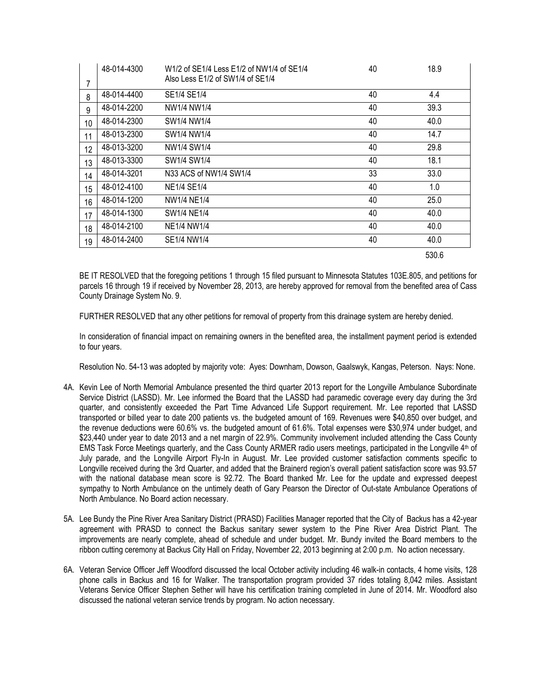| 7  | 48-014-4300 | W1/2 of SE1/4 Less E1/2 of NW1/4 of SE1/4<br>Also Less E1/2 of SW1/4 of SE1/4 | 40 | 18.9  |
|----|-------------|-------------------------------------------------------------------------------|----|-------|
| 8  | 48-014-4400 | SE1/4 SE1/4                                                                   | 40 | 4.4   |
| 9  | 48-014-2200 | NW1/4 NW1/4                                                                   | 40 | 39.3  |
| 10 | 48-014-2300 | SW1/4 NW1/4                                                                   | 40 | 40.0  |
| 11 | 48-013-2300 | SW1/4 NW1/4                                                                   | 40 | 14.7  |
| 12 | 48-013-3200 | NW1/4 SW1/4                                                                   | 40 | 29.8  |
| 13 | 48-013-3300 | SW1/4 SW1/4                                                                   | 40 | 18.1  |
| 14 | 48-014-3201 | N33 ACS of NW1/4 SW1/4                                                        | 33 | 33.0  |
| 15 | 48-012-4100 | NE1/4 SE1/4                                                                   | 40 | 1.0   |
| 16 | 48-014-1200 | NW1/4 NE1/4                                                                   | 40 | 25.0  |
| 17 | 48-014-1300 | SW1/4 NE1/4                                                                   | 40 | 40.0  |
| 18 | 48-014-2100 | <b>NE1/4 NW1/4</b>                                                            | 40 | 40.0  |
| 19 | 48-014-2400 | SE1/4 NW1/4                                                                   | 40 | 40.0  |
|    |             |                                                                               |    | 530.6 |

BE IT RESOLVED that the foregoing petitions 1 through 15 filed pursuant to Minnesota Statutes 103E.805, and petitions for parcels 16 through 19 if received by November 28, 2013, are hereby approved for removal from the benefited area of Cass County Drainage System No. 9.

FURTHER RESOLVED that any other petitions for removal of property from this drainage system are hereby denied.

In consideration of financial impact on remaining owners in the benefited area, the installment payment period is extended to four years.

Resolution No. 54-13 was adopted by majority vote: Ayes: Downham, Dowson, Gaalswyk, Kangas, Peterson. Nays: None.

- 4A. Kevin Lee of North Memorial Ambulance presented the third quarter 2013 report for the Longville Ambulance Subordinate Service District (LASSD). Mr. Lee informed the Board that the LASSD had paramedic coverage every day during the 3rd quarter, and consistently exceeded the Part Time Advanced Life Support requirement. Mr. Lee reported that LASSD transported or billed year to date 200 patients vs. the budgeted amount of 169. Revenues were \$40,850 over budget, and the revenue deductions were 60.6% vs. the budgeted amount of 61.6%. Total expenses were \$30,974 under budget, and \$23,440 under year to date 2013 and a net margin of 22.9%. Community involvement included attending the Cass County EMS Task Force Meetings quarterly, and the Cass County ARMER radio users meetings, participated in the Longville 4<sup>th</sup> of July parade, and the Longville Airport Fly-In in August. Mr. Lee provided customer satisfaction comments specific to Longville received during the 3rd Quarter, and added that the Brainerd region's overall patient satisfaction score was 93.57 with the national database mean score is 92.72. The Board thanked Mr. Lee for the update and expressed deepest sympathy to North Ambulance on the untimely death of Gary Pearson the Director of Out-state Ambulance Operations of North Ambulance. No Board action necessary.
- 5A. Lee Bundy the Pine River Area Sanitary District (PRASD) Facilities Manager reported that the City of Backus has a 42-year agreement with PRASD to connect the Backus sanitary sewer system to the Pine River Area District Plant. The improvements are nearly complete, ahead of schedule and under budget. Mr. Bundy invited the Board members to the ribbon cutting ceremony at Backus City Hall on Friday, November 22, 2013 beginning at 2:00 p.m. No action necessary.
- 6A. Veteran Service Officer Jeff Woodford discussed the local October activity including 46 walk-in contacts, 4 home visits, 128 phone calls in Backus and 16 for Walker. The transportation program provided 37 rides totaling 8,042 miles. Assistant Veterans Service Officer Stephen Sether will have his certification training completed in June of 2014. Mr. Woodford also discussed the national veteran service trends by program. No action necessary.